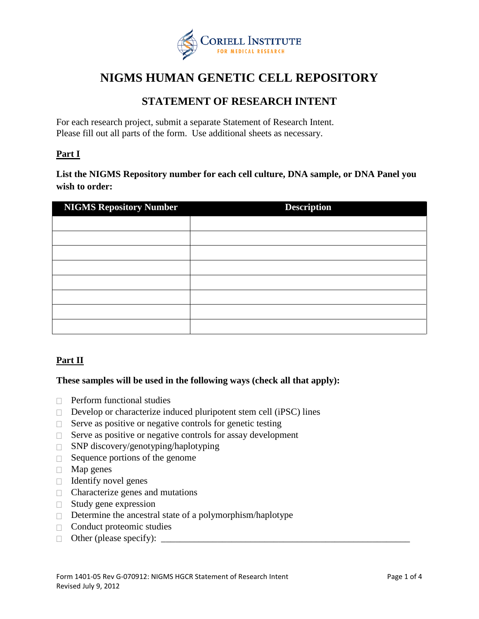

# **NIGMS HUMAN GENETIC CELL REPOSITORY**

## **STATEMENT OF RESEARCH INTENT**

For each research project, submit a separate Statement of Research Intent. Please fill out all parts of the form. Use additional sheets as necessary.

### **Part I**

**List the NIGMS Repository number for each cell culture, DNA sample, or DNA Panel you wish to order:**

| <b>NIGMS Repository Number</b> | <b>Description</b> |
|--------------------------------|--------------------|
|                                |                    |
|                                |                    |
|                                |                    |
|                                |                    |
|                                |                    |
|                                |                    |
|                                |                    |
|                                |                    |

### **Part II**

### **These samples will be used in the following ways (check all that apply):**

- $\Box$  Perform functional studies
- $\Box$  Develop or characterize induced pluripotent stem cell (iPSC) lines
- $\Box$  Serve as positive or negative controls for genetic testing
- $\Box$  Serve as positive or negative controls for assay development
- $\square$  SNP discovery/genotyping/haplotyping
- $\Box$  Sequence portions of the genome
- $\Box$  Map genes
- $\Box$  Identify novel genes
- $\Box$  Characterize genes and mutations
- $\Box$  Study gene expression
- $\Box$  Determine the ancestral state of a polymorphism/haplotype
- $\Box$  Conduct proteomic studies
- $\Box$  Other (please specify):  $\Box$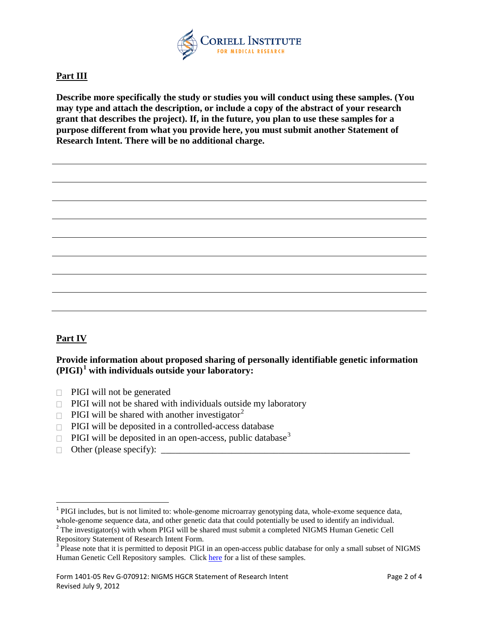

### **Part III**

**Describe more specifically the study or studies you will conduct using these samples. (You may type and attach the description, or include a copy of the abstract of your research grant that describes the project). If, in the future, you plan to use these samples for a purpose different from what you provide here, you must submit another Statement of Research Intent. There will be no additional charge.**

### **Part IV**

### **Provide information about proposed sharing of personally identifiable genetic information (PIGI)[1](#page-1-0) with individuals outside your laboratory:**

- $\Box$  PIGI will not be generated
- $\Box$  PIGI will not be shared with individuals outside my laboratory
- $\Box$  PIGI will be shared with another investigator<sup>[2](#page-1-1)</sup>
- $\Box$  PIGI will be deposited in a controlled-access database
- $\Box$  PIGI will be deposited in an open-access, public database<sup>[3](#page-1-2)</sup>
- Other (please specify): \_\_\_\_\_\_\_\_\_\_\_\_\_\_\_\_\_\_\_\_\_\_\_\_\_\_\_\_\_\_\_\_\_\_\_\_\_\_\_\_\_\_\_\_\_\_\_\_\_\_\_\_\_

<span id="page-1-0"></span><sup>&</sup>lt;sup>1</sup> PIGI includes, but is not limited to: whole-genome microarray genotyping data, whole-exome sequence data, whole-genome sequence data, and other genetic data that could potentially be used to identify an individual.

<span id="page-1-1"></span> $2$ <sup>2</sup> The investigator(s) with whom PIGI will be shared must submit a completed NIGMS Human Genetic Cell

<span id="page-1-2"></span>Repository Statement of Research Intent Form.<br><sup>3</sup> Please note that it is permitted to deposit PIGI in an open-access public database for only a small subset of NIGMS Human Genetic Cell Repository samples. Click [here](http://ccr.coriell.org/Sections/Collections/NIGMS/pigi_consented.aspx?PgId=745&coll=GM) for a list of these samples.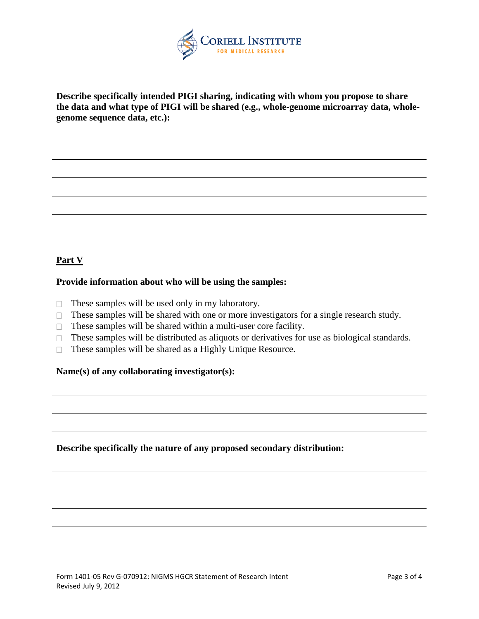

**Describe specifically intended PIGI sharing, indicating with whom you propose to share the data and what type of PIGI will be shared (e.g., whole-genome microarray data, wholegenome sequence data, etc.):**

### **Part V**

### **Provide information about who will be using the samples:**

- $\Box$  These samples will be used only in my laboratory.
- $\Box$  These samples will be shared with one or more investigators for a single research study.
- $\Box$  These samples will be shared within a multi-user core facility.
- $\Box$  These samples will be distributed as aliquots or derivatives for use as biological standards.
- $\Box$  These samples will be shared as a Highly Unique Resource.

### **Name(s) of any collaborating investigator(s):**

**Describe specifically the nature of any proposed secondary distribution:**